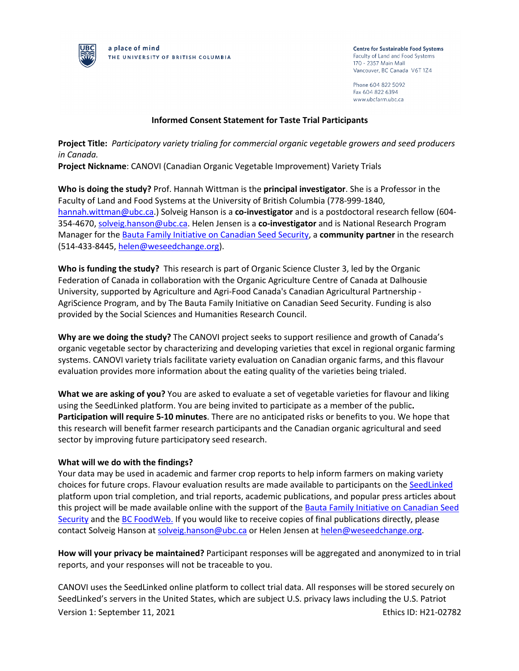

a place of mind THE UNIVERSITY OF BRITISH COLUMBIA **Centre for Sustainable Food Systems** Faculty of Land and Food Systems 170 - 2357 Main Mall Vancouver, BC Canada V6T 1Z4

Phone 604 822 5092 Fax 604 822 6394 www.ubcfarm.ubc.ca

## **Informed Consent Statement for Taste Trial Participants**

**Project Title:** *Participatory variety trialing for commercial organic vegetable growers and seed producers in Canada.*

**Project Nickname**: CANOVI (Canadian Organic Vegetable Improvement) Variety Trials

**Who is doing the study?** Prof. Hannah Wittman is the **principal investigator**. She is a Professor in the Faculty of Land and Food Systems at the University of British Columbia (778-999-1840, hannah.wittman@ubc.ca.) Solveig Hanson is a **co-investigator** and is a postdoctoral research fellow (604- 354-4670, solveig.hanson@ubc.ca. Helen Jensen is a **co-investigator** and is National Research Program Manager for the Bauta Family Initiative on Canadian Seed Security, a **community partner** in the research (514-433-8445, helen@weseedchange.org).

**Who is funding the study?** This research is part of Organic Science Cluster 3, led by the Organic Federation of Canada in collaboration with the Organic Agriculture Centre of Canada at Dalhousie University, supported by Agriculture and Agri-Food Canada's Canadian Agricultural Partnership - AgriScience Program, and by The Bauta Family Initiative on Canadian Seed Security. Funding is also provided by the Social Sciences and Humanities Research Council.

**Why are we doing the study?** The CANOVI project seeks to support resilience and growth of Canada's organic vegetable sector by characterizing and developing varieties that excel in regional organic farming systems. CANOVI variety trials facilitate variety evaluation on Canadian organic farms, and this flavour evaluation provides more information about the eating quality of the varieties being trialed.

**What we are asking of you?** You are asked to evaluate a set of vegetable varieties for flavour and liking using the SeedLinked platform. You are being invited to participate as a member of the public**. Participation will require 5-10 minutes**. There are no anticipated risks or benefits to you. We hope that this research will benefit farmer research participants and the Canadian organic agricultural and seed sector by improving future participatory seed research.

## **What will we do with the findings?**

Your data may be used in academic and farmer crop reports to help inform farmers on making variety choices for future crops. Flavour evaluation results are made available to participants on the SeedLinked platform upon trial completion, and trial reports, academic publications, and popular press articles about this project will be made available online with the support of the Bauta Family Initiative on Canadian Seed Security and the BC FoodWeb. If you would like to receive copies of final publications directly, please contact Solveig Hanson at solveig.hanson@ubc.ca or Helen Jensen at helen@weseedchange.org.

**How will your privacy be maintained?** Participant responses will be aggregated and anonymized to in trial reports, and your responses will not be traceable to you.

Version 1: September 11, 2021 **Ethics ID: H21-02782** Ethics ID: H21-02782 CANOVI uses the SeedLinked online platform to collect trial data. All responses will be stored securely on SeedLinked's servers in the United States, which are subject U.S. privacy laws including the U.S. Patriot